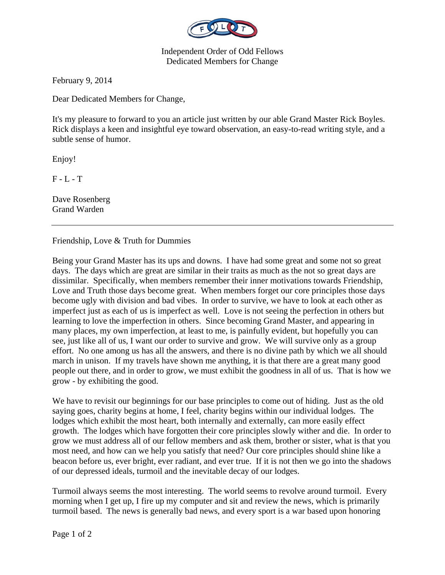

Independent Order of Odd Fellows Dedicated Members for Change

February 9, 2014

Dear Dedicated Members for Change,

It's my pleasure to forward to you an article just written by our able Grand Master Rick Boyles. Rick displays a keen and insightful eye toward observation, an easy-to-read writing style, and a subtle sense of humor.

Enjoy!

 $F - L - T$ 

Dave Rosenberg Grand Warden

Friendship, Love & Truth for Dummies

Being your Grand Master has its ups and downs. I have had some great and some not so great days. The days which are great are similar in their traits as much as the not so great days are dissimilar. Specifically, when members remember their inner motivations towards Friendship, Love and Truth those days become great. When members forget our core principles those days become ugly with division and bad vibes. In order to survive, we have to look at each other as imperfect just as each of us is imperfect as well. Love is not seeing the perfection in others but learning to love the imperfection in others. Since becoming Grand Master, and appearing in many places, my own imperfection, at least to me, is painfully evident, but hopefully you can see, just like all of us, I want our order to survive and grow. We will survive only as a group effort. No one among us has all the answers, and there is no divine path by which we all should march in unison. If my travels have shown me anything, it is that there are a great many good people out there, and in order to grow, we must exhibit the goodness in all of us. That is how we grow - by exhibiting the good.

We have to revisit our beginnings for our base principles to come out of hiding. Just as the old saying goes, charity begins at home, I feel, charity begins within our individual lodges. The lodges which exhibit the most heart, both internally and externally, can more easily effect growth. The lodges which have forgotten their core principles slowly wither and die. In order to grow we must address all of our fellow members and ask them, brother or sister, what is that you most need, and how can we help you satisfy that need? Our core principles should shine like a beacon before us, ever bright, ever radiant, and ever true. If it is not then we go into the shadows of our depressed ideals, turmoil and the inevitable decay of our lodges.

Turmoil always seems the most interesting. The world seems to revolve around turmoil. Every morning when I get up, I fire up my computer and sit and review the news, which is primarily turmoil based. The news is generally bad news, and every sport is a war based upon honoring